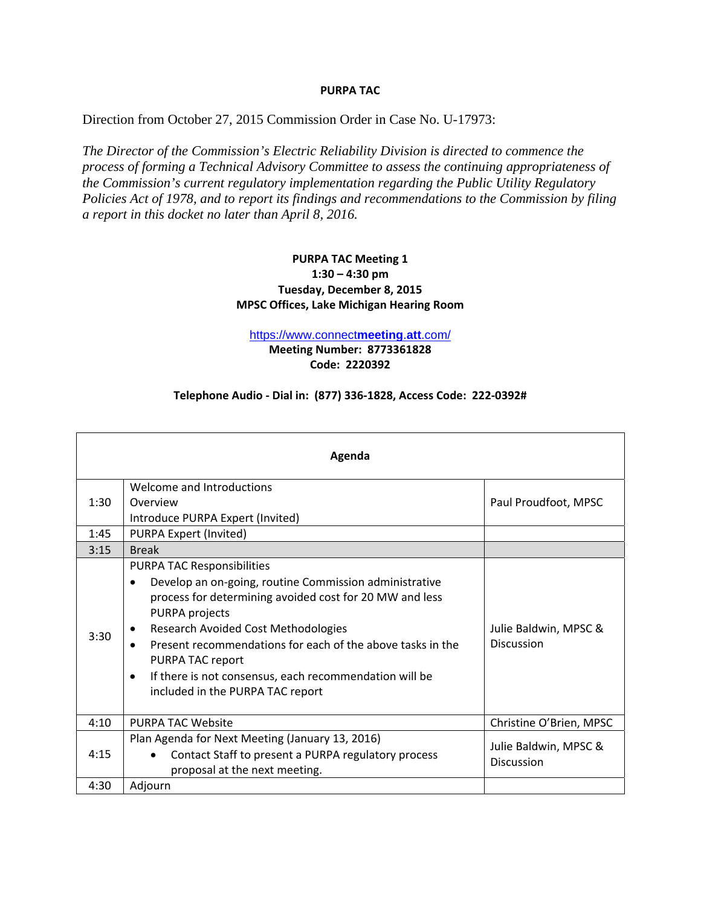## **PURPA TAC**

Direction from October 27, 2015 Commission Order in Case No. U-17973:

*The Director of the Commission's Electric Reliability Division is directed to commence the process of forming a Technical Advisory Committee to assess the continuing appropriateness of the Commission's current regulatory implementation regarding the Public Utility Regulatory Policies Act of 1978, and to report its findings and recommendations to the Commission by filing a report in this docket no later than April 8, 2016.*

## **PURPA TAC Meeting 1 1:30 – 4:30 pm Tuesday, December 8, 2015 MPSC Offices, Lake Michigan Hearing Room**

https://www.connect**meeting**.**att**.com/

**Meeting Number: 8773361828 Code: 2220392**

## **Telephone Audio ‐ Dial in: (877) 336‐1828, Access Code: 222‐0392#**

| Agenda |                                                                                                                                                                                                                                                                                                                                                                                                                                  |                                            |
|--------|----------------------------------------------------------------------------------------------------------------------------------------------------------------------------------------------------------------------------------------------------------------------------------------------------------------------------------------------------------------------------------------------------------------------------------|--------------------------------------------|
| 1:30   | Welcome and Introductions<br>Overview<br>Introduce PURPA Expert (Invited)                                                                                                                                                                                                                                                                                                                                                        | Paul Proudfoot, MPSC                       |
| 1:45   | PURPA Expert (Invited)                                                                                                                                                                                                                                                                                                                                                                                                           |                                            |
| 3:15   | <b>Break</b>                                                                                                                                                                                                                                                                                                                                                                                                                     |                                            |
| 3:30   | <b>PURPA TAC Responsibilities</b><br>Develop an on-going, routine Commission administrative<br>process for determining avoided cost for 20 MW and less<br>PURPA projects<br><b>Research Avoided Cost Methodologies</b><br>$\bullet$<br>Present recommendations for each of the above tasks in the<br>PURPA TAC report<br>If there is not consensus, each recommendation will be<br>$\bullet$<br>included in the PURPA TAC report | Julie Baldwin, MPSC &<br><b>Discussion</b> |
| 4:10   | <b>PURPA TAC Website</b>                                                                                                                                                                                                                                                                                                                                                                                                         | Christine O'Brien, MPSC                    |
| 4:15   | Plan Agenda for Next Meeting (January 13, 2016)<br>Contact Staff to present a PURPA regulatory process<br>proposal at the next meeting.                                                                                                                                                                                                                                                                                          | Julie Baldwin, MPSC &<br><b>Discussion</b> |
| 4:30   | Adjourn                                                                                                                                                                                                                                                                                                                                                                                                                          |                                            |